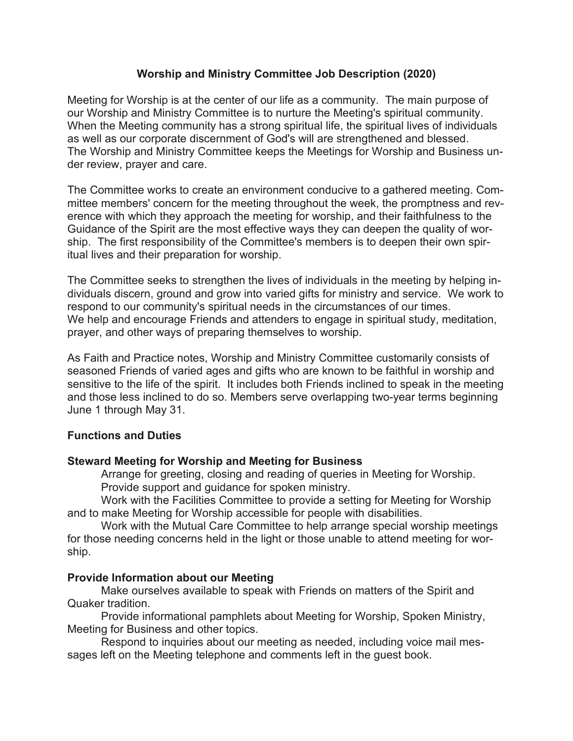# Worship and Ministry Committee Job Description (2020)

Meeting for Worship is at the center of our life as a community. The main purpose of our Worship and Ministry Committee is to nurture the Meeting's spiritual community. When the Meeting community has a strong spiritual life, the spiritual lives of individuals as well as our corporate discernment of God's will are strengthened and blessed. The Worship and Ministry Committee keeps the Meetings for Worship and Business under review, prayer and care.

The Committee works to create an environment conducive to a gathered meeting. Committee members' concern for the meeting throughout the week, the promptness and reverence with which they approach the meeting for worship, and their faithfulness to the Guidance of the Spirit are the most effective ways they can deepen the quality of worship. The first responsibility of the Committee's members is to deepen their own spiritual lives and their preparation for worship.

The Committee seeks to strengthen the lives of individuals in the meeting by helping individuals discern, ground and grow into varied gifts for ministry and service. We work to respond to our community's spiritual needs in the circumstances of our times. We help and encourage Friends and attenders to engage in spiritual study, meditation, prayer, and other ways of preparing themselves to worship.

As Faith and Practice notes, Worship and Ministry Committee customarily consists of seasoned Friends of varied ages and gifts who are known to be faithful in worship and sensitive to the life of the spirit. It includes both Friends inclined to speak in the meeting and those less inclined to do so. Members serve overlapping two-year terms beginning June 1 through May 31.

## Functions and Duties

## Steward Meeting for Worship and Meeting for Business

 Arrange for greeting, closing and reading of queries in Meeting for Worship. Provide support and guidance for spoken ministry.

 Work with the Facilities Committee to provide a setting for Meeting for Worship and to make Meeting for Worship accessible for people with disabilities.

 Work with the Mutual Care Committee to help arrange special worship meetings for those needing concerns held in the light or those unable to attend meeting for worship.

## Provide Information about our Meeting

 Make ourselves available to speak with Friends on matters of the Spirit and Quaker tradition.

 Provide informational pamphlets about Meeting for Worship, Spoken Ministry, Meeting for Business and other topics.

 Respond to inquiries about our meeting as needed, including voice mail messages left on the Meeting telephone and comments left in the guest book.